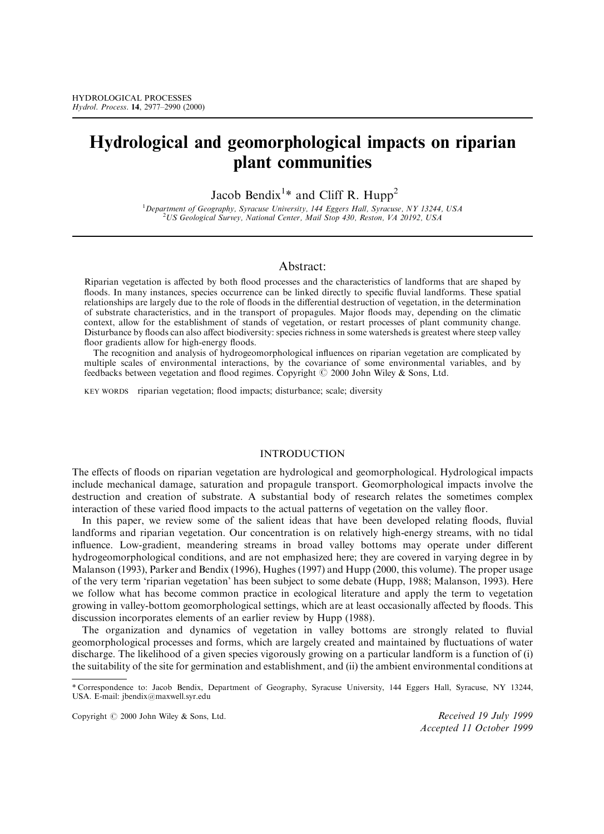# Hydrological and geomorphological impacts on riparian plant communities

Jacob Bendix<sup>1\*</sup> and Cliff R. Hupp<sup>2</sup>

<sup>1</sup>Department of Geography, Syracuse University, 144 Eggers Hall, Syracuse, NY 13244, USA<br><sup>2</sup>US Geological Survey, National Center, Mail Stop 430, Pestop, VA 20102, USA US Geological Survey, National Center, Mail Stop 430, Reston, VA 20192, USA

### Abstract:

Riparian vegetation is affected by both flood processes and the characteristics of landforms that are shaped by floods. In many instances, species occurrence can be linked directly to specific fluvial landforms. These spatial relationships are largely due to the role of floods in the differential destruction of vegetation, in the determination of substrate characteristics, and in the transport of propagules. Major floods may, depending on the climatic context, allow for the establishment of stands of vegetation, or restart processes of plant community change. Disturbance by floods can also affect biodiversity: species richness in some watersheds is greatest where steep valley floor gradients allow for high-energy floods.

The recognition and analysis of hydrogeomorphological influences on riparian vegetation are complicated by multiple scales of environmental interactions, by the covariance of some environmental variables, and by feedbacks between vegetation and flood regimes. Copyright  $\odot$  2000 John Wiley & Sons, Ltd.

KEY WORDS riparian vegetation; flood impacts; disturbance; scale; diversity

### **INTRODUCTION**

The effects of floods on riparian vegetation are hydrological and geomorphological. Hydrological impacts include mechanical damage, saturation and propagule transport. Geomorphological impacts involve the destruction and creation of substrate. A substantial body of research relates the sometimes complex interaction of these varied flood impacts to the actual patterns of vegetation on the valley floor.

In this paper, we review some of the salient ideas that have been developed relating floods, fluvial landforms and riparian vegetation. Our concentration is on relatively high-energy streams, with no tidal influence. Low-gradient, meandering streams in broad valley bottoms may operate under different hydrogeomorphological conditions, and are not emphasized here; they are covered in varying degree in by Malanson [\(1993](#page-12-0)), Parker and Bendix ([1996\)](#page-12-0), Hughes ([1997\)](#page-11-0) and Hupp ([2000,](#page-12-0) this volume). The proper usage of the very term `riparian vegetation' has been subject to some debate (Hupp, [1988](#page-12-0); Malanson, [1993\)](#page-12-0). Here we follow what has become common practice in ecological literature and apply the term to vegetation growing in valley-bottom geomorphological settings, which are at least occasionally affected by floods. This discussion incorporates elements of an earlier review by Hupp ([1988](#page-12-0)).

The organization and dynamics of vegetation in valley bottoms are strongly related to fluvial geomorphological processes and forms, which are largely created and maintained by fluctuations of water discharge. The likelihood of a given species vigorously growing on a particular landform is a function of (i) the suitability of the site for germination and establishment, and (ii) the ambient environmental conditions at

Copyright  $\heartsuit$  2000 John Wiley & Sons, Ltd. Received 19 July 1999

Accepted 11 October 1999

<sup>\*</sup> Correspondence to: Jacob Bendix, Department of Geography, Syracuse University, 144 Eggers Hall, Syracuse, NY 13244, USA. E-mail: jbendix@maxwell.syr.edu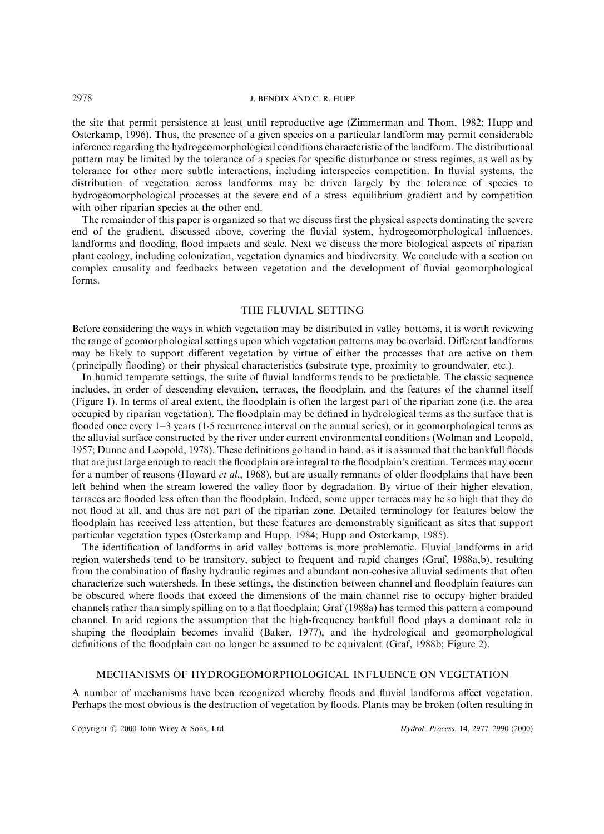the site that permit persistence at least until reproductive age (Zimmerman and Thom, [1982](#page-13-0); Hupp and Osterkamp, [1996\)](#page-12-0). Thus, the presence of a given species on a particular landform may permit considerable inference regarding the hydrogeomorphological conditions characteristic of the landform. The distributional pattern may be limited by the tolerance of a species for specific disturbance or stress regimes, as well as by tolerance for other more subtle interactions, including interspecies competition. In fluvial systems, the distribution of vegetation across landforms may be driven largely by the tolerance of species to hydrogeomorphological processes at the severe end of a stress-equilibrium gradient and by competition with other riparian species at the other end.

The remainder of this paper is organized so that we discuss first the physical aspects dominating the severe end of the gradient, discussed above, covering the fluvial system, hydrogeomorphological influences, landforms and flooding, flood impacts and scale. Next we discuss the more biological aspects of riparian plant ecology, including colonization, vegetation dynamics and biodiversity. We conclude with a section on complex causality and feedbacks between vegetation and the development of fluvial geomorphological forms.

### THE FLUVIAL SETTING

Before considering the ways in which vegetation may be distributed in valley bottoms, it is worth reviewing the range of geomorphological settings upon which vegetation patterns may be overlaid. Different landforms may be likely to support different vegetation by virtue of either the processes that are active on them (principally flooding) or their physical characteristics (substrate type, proximity to groundwater, etc.).

In humid temperate settings, the suite of fluvial landforms tends to be predictable. The classic sequence includes, in order of descending elevation, terraces, the floodplain, and the features of the channel itself (Figure 1). In terms of areal extent, the floodplain is often the largest part of the riparian zone (i.e. the area occupied by riparian vegetation). The floodplain may be defined in hydrological terms as the surface that is flooded once every  $1-3$  years (1.5 recurrence interval on the annual series), or in geomorphological terms as the alluvial surface constructed by the river under current environmental conditions (Wolman and Leopold, [1957;](#page-13-0) Dunne and Leopold, [1978\)](#page-11-0). These definitions go hand in hand, as it is assumed that the bankfull floods that are just large enough to reach the floodplain are integral to the floodplain's creation. Terraces may occur for a number of reasons (Howard et al., [1968\)](#page-11-0), but are usually remnants of older floodplains that have been left behind when the stream lowered the valley floor by degradation. By virtue of their higher elevation, terraces are flooded less often than the floodplain. Indeed, some upper terraces may be so high that they do not flood at all, and thus are not part of the riparian zone. Detailed terminology for features below the floodplain has received less attention, but these features are demonstrably significant as sites that support particular vegetation types (Osterkamp and Hupp, [1984;](#page-12-0) Hupp and Osterkamp, [1985](#page-12-0)).

The identification of landforms in arid valley bottoms is more problematic. Fluvial landforms in arid region watersheds tend to be transitory, subject to frequent and rapid changes (Graf, [1988a,b\)](#page-11-0), resulting from the combination of flashy hydraulic regimes and abundant non-cohesive alluvial sediments that often characterize such watersheds. In these settings, the distinction between channel and floodplain features can be obscured where floods that exceed the dimensions of the main channel rise to occupy higher braided channels rather than simply spilling on to a flat floodplain; Graf [\(1988a](#page-11-0)) has termed this pattern a compound channel. In arid regions the assumption that the high-frequency bankfull flood plays a dominant role in shaping the floodplain becomes invalid (Baker, [1977\)](#page-11-0), and the hydrological and geomorphological definitions of the floodplain can no longer be assumed to be equivalent (Graf, [1988b;](#page-11-0) Figure 2).

### MECHANISMS OF HYDROGEOMORPHOLOGICAL INFLUENCE ON VEGETATION

A number of mechanisms have been recognized whereby floods and fluvial landforms affect vegetation. Perhaps the most obvious is the destruction of vegetation by floods. Plants may be broken (often resulting in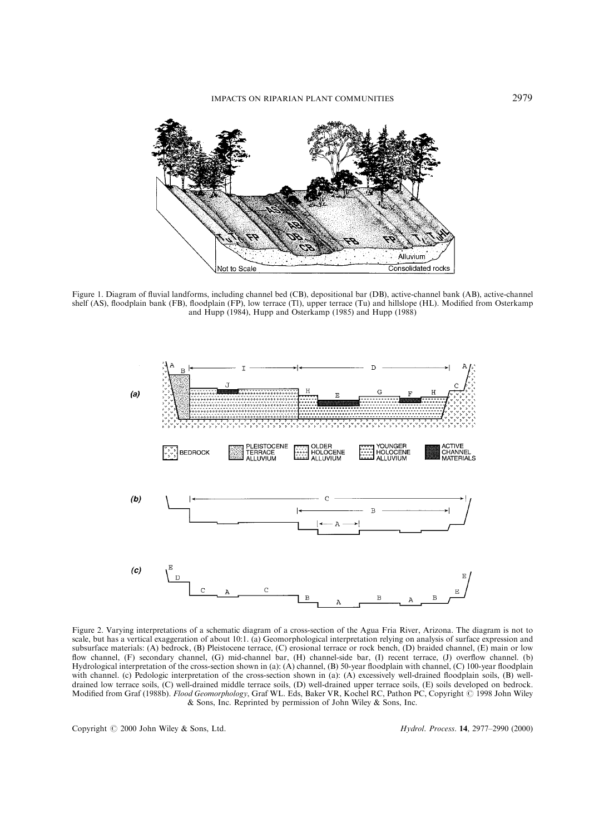

Figure 1. Diagram of fluvial landforms, including channel bed (CB), depositional bar (DB), active-channel bank (AB), active-channel shelf (AS), floodplain bank (FB), floodplain (FP), low terrace (Tl), upper terrace (Tu) and hillslope (HL). Modified from Osterkamp and Hupp [\(1984](#page-12-0)), Hupp and Osterkamp [\(1985](#page-12-0)) and Hupp ([1988\)](#page-12-0)



Figure 2. Varying interpretations of a schematic diagram of a cross-section of the Agua Fria River, Arizona. The diagram is not to scale, but has a vertical exaggeration of about 10:1. (a) Geomorphological interpretation relying on analysis of surface expression and subsurface materials: (A) bedrock, (B) Pleistocene terrace, (C) erosional terrace or rock bench, (D) braided channel, (E) main or low flow channel, (F) secondary channel, (G) mid-channel bar, (H) channel-side bar, (I) recent terrace, (J) overflow channel. (b) Hydrological interpretation of the cross-section shown in (a): (A) channel, (B) 50-year floodplain with channel, (C) 100-year floodplain with channel. (c) Pedologic interpretation of the cross-section shown in (a): (A) excessively well-drained floodplain soils, (B) welldrained low terrace soils, (C) well-drained middle terrace soils, (D) well-drained upper terrace soils, (E) soils developed on bedrock. Modified from Graf [\(1988b\)](#page-11-0). Flood Geomorphology, Graf WL. Eds, Baker VR, Kochel RC, Pathon PC, Copyright © 1998 John Wiley & Sons, Inc. Reprinted by permission of John Wiley & Sons, Inc.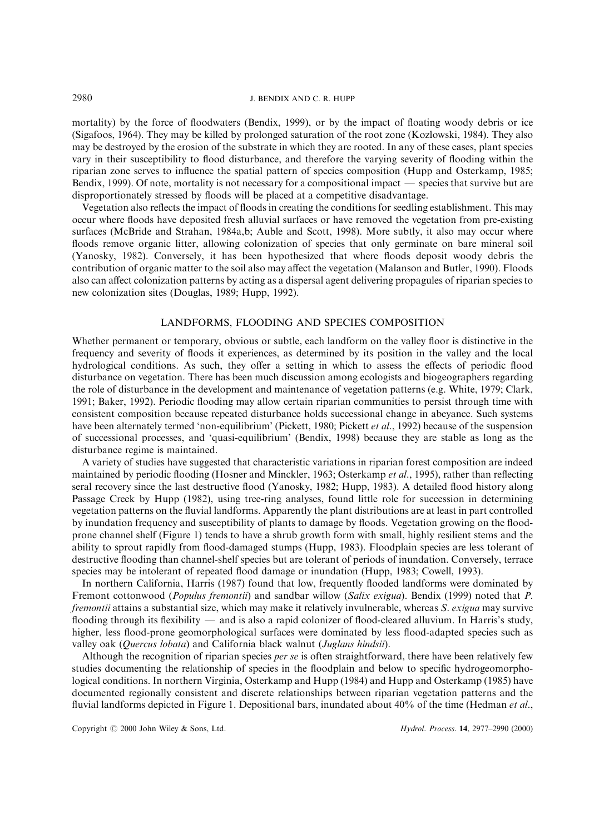mortality) by the force of floodwaters (Bendix, [1999\)](#page-11-0), or by the impact of floating woody debris or ice (Sigafoos, [1964\)](#page-12-0). They may be killed by prolonged saturation of the root zone (Kozlowski, [1984\)](#page-12-0). They also may be destroyed by the erosion of the substrate in which they are rooted. In any of these cases, plant species vary in their susceptibility to flood disturbance, and therefore the varying severity of flooding within the riparian zone serves to influence the spatial pattern of species composition (Hupp and Osterkamp, [1985;](#page-12-0) Bendix, [1999\)](#page-11-0). Of note, mortality is not necessary for a compositional impact  $\overline{\phantom{a}}$  species that survive but are disproportionately stressed by floods will be placed at a competitive disadvantage.

Vegetation also reflects the impact of floods in creating the conditions for seedling establishment. This may occur where floods have deposited fresh alluvial surfaces or have removed the vegetation from pre-existing surfaces (McBride and Strahan, [1984a](#page-12-0),[b](#page-12-0); Auble and Scott, [1998\)](#page-11-0). More subtly, it also may occur where floods remove organic litter, allowing colonization of species that only germinate on bare mineral soil (Yanosky, [1982](#page-13-0)). Conversely, it has been hypothesized that where floods deposit woody debris the contribution of organic matter to the soil also may affect the vegetation (Malanson and Butler, [1990](#page-12-0)). Floods also can affect colonization patterns by acting as a dispersal agent delivering propagules of riparian species to new colonization sites (Douglas, [1989](#page-11-0); Hupp, [1992\)](#page-12-0).

### LANDFORMS, FLOODING AND SPECIES COMPOSITION

Whether permanent or temporary, obvious or subtle, each landform on the valley floor is distinctive in the frequency and severity of floods it experiences, as determined by its position in the valley and the local hydrological conditions. As such, they offer a setting in which to assess the effects of periodic flood disturbance on vegetation. There has been much discussion among ecologists and biogeographers regarding the role of disturbance in the development and maintenance of vegetation patterns (e.g. White, [1979](#page-13-0); Clark, [1991;](#page-11-0) Baker, [1992\)](#page-11-0). Periodic flooding may allow certain riparian communities to persist through time with consistent composition because repeated disturbance holds successional change in abeyance. Such systems have been alternately termed 'non-equilibrium' (Pickett, [1980;](#page-12-0) Pickett et al., [1992](#page-12-0)) because of the suspension of successional processes, and `quasi-equilibrium' (Bendix, [1998\)](#page-11-0) because they are stable as long as the disturbance regime is maintained.

A variety of studies have suggested that characteristic variations in riparian forest composition are indeed maintained by periodic flooding (Hosner and Minckler, [1963](#page-11-0); Osterkamp et al., [1995](#page-12-0)), rather than reflecting seral recovery since the last destructive flood (Yanosky, [1982;](#page-13-0) Hupp, [1983](#page-11-0)). A detailed flood history along Passage Creek by Hupp [\(1982](#page-11-0)), using tree-ring analyses, found little role for succession in determining vegetation patterns on the fluvial landforms. Apparently the plant distributions are at least in part controlled by inundation frequency and susceptibility of plants to damage by floods. Vegetation growing on the floodprone channel shelf (Figure 1) tends to have a shrub growth form with small, highly resilient stems and the ability to sprout rapidly from flood-damaged stumps (Hupp, [1983](#page-11-0)). Floodplain species are less tolerant of destructive flooding than channel-shelf species but are tolerant of periods of inundation. Conversely, terrace species may be intolerant of repeated flood damage or inundation (Hupp, [1983;](#page-11-0) Cowell, [1993](#page-11-0)).

In northern California, Harris [\(1987\)](#page-11-0) found that low, frequently flooded landforms were dominated by Fremont cottonwood (Populus fremontii) and sandbar willow (Salix exigua). Bendix [\(1999](#page-11-0)) noted that P. fremontii attains a substantial size, which may make it relatively invulnerable, whereas S. exigua may survive flooding through its flexibility — and is also a rapid colonizer of flood-cleared alluvium. In Harris's study, higher, less flood-prone geomorphological surfaces were dominated by less flood-adapted species such as valley oak (Quercus lobata) and California black walnut (Juglans hindsii).

Although the recognition of riparian species *per se* is often straightforward, there have been relatively few studies documenting the relationship of species in the floodplain and below to specific hydrogeomorphological conditions. In northern Virginia, Osterkamp and Hupp ([1984\)](#page-12-0) and Hupp and Osterkamp [\(1985](#page-12-0)) have documented regionally consistent and discrete relationships between riparian vegetation patterns and the fluvial landforms depicted in Figure 1. Depositional bars, inundated about 40% of the time (Hedman et al.,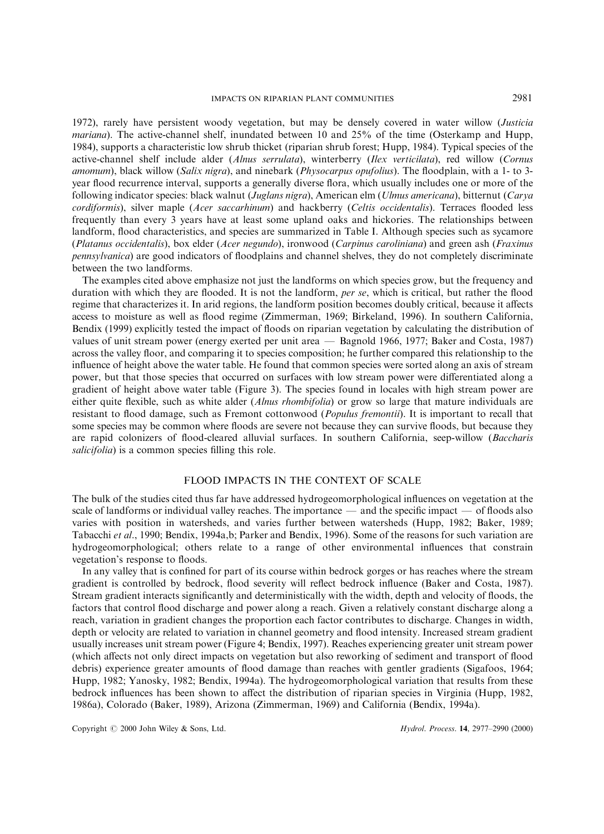### IMPACTS ON RIPARIAN PLANT COMMUNITIES 2981

[1972\)](#page-11-0), rarely have persistent woody vegetation, but may be densely covered in water willow (Justicia mariana). The active-channel shelf, inundated between 10 and 25% of the time (Osterkamp and Hupp, [1984\)](#page-12-0), supports a characteristic low shrub thicket (riparian shrub forest; Hupp, [1984\)](#page-11-0). Typical species of the active-channel shelf include alder (Alnus serrulata), winterberry (Ilex verticilata), red willow (Cornus amomum), black willow (Salix nigra), and ninebark (Physocarpus opufolius). The floodplain, with a 1- to 3year flood recurrence interval, supports a generally diverse flora, which usually includes one or more of the following indicator species: black walnut (Juglans nigra), American elm (Ulmus americana), bitternut (Carya cordiformis), silver maple (Acer saccarhinum) and hackberry (Celtis occidentalis). Terraces flooded less frequently than every 3 years have at least some upland oaks and hickories. The relationships between landform, flood characteristics, and species are summarized in Table I. Although species such as sycamore (Platanus occidentalis), box elder (Acer negundo), ironwood (Carpinus caroliniana) and green ash (Fraxinus pennsylvanica) are good indicators of floodplains and channel shelves, they do not completely discriminate between the two landforms.

The examples cited above emphasize not just the landforms on which species grow, but the frequency and duration with which they are flooded. It is not the landform, per se, which is critical, but rather the flood regime that characterizes it. In arid regions, the landform position becomes doubly critical, because it affects access to moisture as well as flood regime (Zimmerman, [1969](#page-13-0); Birkeland, [1996\)](#page-11-0). In southern California, Bendix ([1999\)](#page-11-0) explicitly tested the impact of floods on riparian vegetation by calculating the distribution of values of unit stream power (energy exerted per unit area — Bagnold [1966](#page-11-0), [1977](#page-11-0); Baker and Costa, [1987\)](#page-11-0) across the valley floor, and comparing it to species composition; he further compared this relationship to the influence of height above the water table. He found that common species were sorted along an axis of stream power, but that those species that occurred on surfaces with low stream power were differentiated along a gradient of height above water table (Figure 3). The species found in locales with high stream power are either quite flexible, such as white alder (*Alnus rhombifolia*) or grow so large that mature individuals are resistant to flood damage, such as Fremont cottonwood (*Populus fremontii*). It is important to recall that some species may be common where floods are severe not because they can survive floods, but because they are rapid colonizers of flood-cleared alluvial surfaces. In southern California, seep-willow (Baccharis salicifolia) is a common species filling this role.

### FLOOD IMPACTS IN THE CONTEXT OF SCALE

The bulk of the studies cited thus far have addressed hydrogeomorphological influences on vegetation at the scale of landforms or individual valley reaches. The importance  $\overline{\phantom{a}}$  and the specific impact  $\overline{\phantom{a}}$  of floods also varies with position in watersheds, and varies further between watersheds (Hupp, [1982](#page-11-0); Baker, [1989;](#page-11-0) Tabacchi et al., [1990;](#page-13-0) Bendix, [1994a,b;](#page-11-0) Parker and Bendix, [1996](#page-12-0)). Some of the reasons for such variation are hydrogeomorphological; others relate to a range of other environmental influences that constrain vegetation's response to floods.

In any valley that is confined for part of its course within bedrock gorges or has reaches where the stream gradient is controlled by bedrock, flood severity will reflect bedrock influence (Baker and Costa, [1987](#page-11-0)). Stream gradient interacts significantly and deterministically with the width, depth and velocity of floods, the factors that control flood discharge and power along a reach. Given a relatively constant discharge along a reach, variation in gradient changes the proportion each factor contributes to discharge. Changes in width, depth or velocity are related to variation in channel geometry and flood intensity. Increased stream gradient usually increases unit stream power (Figure 4; Bendix, [1997](#page-11-0)). Reaches experiencing greater unit stream power (which affects not only direct impacts on vegetation but also reworking of sediment and transport of flood debris) experience greater amounts of flood damage than reaches with gentler gradients (Sigafoos, [1964;](#page-12-0) Hupp, [1982](#page-11-0); Yanosky, [1982;](#page-13-0) Bendix, [1994a\)](#page-11-0). The hydrogeomorphological variation that results from these bedrock influences has been shown to affect the distribution of riparian species in Virginia (Hupp, [1982,](#page-11-0) [1986a\)](#page-11-0), Colorado (Baker, [1989\)](#page-11-0), Arizona (Zimmerman, [1969](#page-13-0)) and California (Bendix, [1994a](#page-11-0)).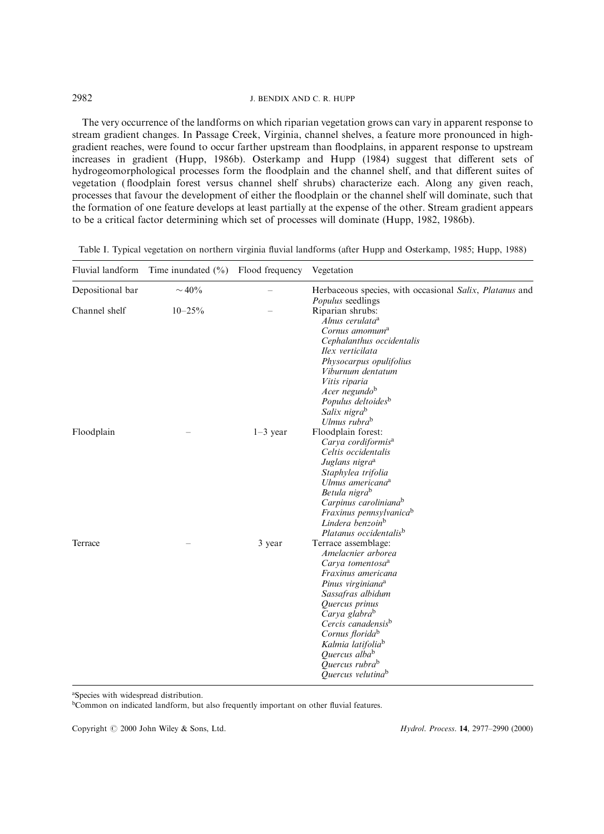The very occurrence of the landforms on which riparian vegetation grows can vary in apparent response to stream gradient changes. In Passage Creek, Virginia, channel shelves, a feature more pronounced in highgradient reaches, were found to occur farther upstream than floodplains, in apparent response to upstream increases in gradient (Hupp, [1986b\)](#page-12-0). Osterkamp and Hupp ([1984](#page-12-0)) suggest that different sets of hydrogeomorphological processes form the floodplain and the channel shelf, and that different suites of vegetation (floodplain forest versus channel shelf shrubs) characterize each. Along any given reach, processes that favour the development of either the floodplain or the channel shelf will dominate, such that the formation of one feature develops at least partially at the expense of the other. Stream gradient appears to be a critical factor determining which set of processes will dominate (Hupp, [1982,](#page-11-0) [1986b\)](#page-12-0).

|  |  |  |  |  | Table I. Typical vegetation on northern virginia fluvial landforms (after Hupp and Osterkamp, 1985; Hupp, 1988) |  |
|--|--|--|--|--|-----------------------------------------------------------------------------------------------------------------|--|
|  |  |  |  |  |                                                                                                                 |  |

| Fluvial landform | Time inundated $(\% )$ Flood frequency |            | Vegetation                                              |
|------------------|----------------------------------------|------------|---------------------------------------------------------|
| Depositional bar | $\sim$ 40%                             |            | Herbaceous species, with occasional Salix, Platanus and |
|                  |                                        |            | <i>Populus</i> seedlings                                |
| Channel shelf    | $10 - 25\%$                            |            | Riparian shrubs:                                        |
|                  |                                        |            | Alnus cerulata <sup>a</sup>                             |
|                  |                                        |            | Cornus amomum <sup>a</sup>                              |
|                  |                                        |            | Cephalanthus occidentalis                               |
|                  |                                        |            | Ilex verticilata                                        |
|                  |                                        |            | Physocarpus opulifolius                                 |
|                  |                                        |            | Viburnum dentatum                                       |
|                  |                                        |            | Vitis riparia                                           |
|                  |                                        |            | Acer negundo <sup>b</sup>                               |
|                  |                                        |            | Populus deltoides <sup>b</sup>                          |
|                  |                                        |            | Salix nigrab                                            |
|                  |                                        |            | Ulmus rubra <sup>b</sup>                                |
| Floodplain       |                                        | $1-3$ year | Floodplain forest:                                      |
|                  |                                        |            | Carya cordiformis <sup>a</sup>                          |
|                  |                                        |            | Celtis occidentalis                                     |
|                  |                                        |            | Juglans nigra <sup>a</sup>                              |
|                  |                                        |            | Staphylea trifolia                                      |
|                  |                                        |            | Ulmus americana <sup>a</sup>                            |
|                  |                                        |            | Betula nigra <sup>b</sup>                               |
|                  |                                        |            | Carpinus caroliniana <sup>b</sup>                       |
|                  |                                        |            | Fraxinus pennsylvanica <sup>b</sup>                     |
|                  |                                        |            | Lindera benzoin <sup>b</sup>                            |
|                  |                                        |            | Platanus occidentalis <sup>b</sup>                      |
| Terrace          |                                        | 3 year     | Terrace assemblage:                                     |
|                  |                                        |            | Amelacnier arborea                                      |
|                  |                                        |            | Carva tomentosa <sup>a</sup>                            |
|                  |                                        |            | Fraxinus americana                                      |
|                  |                                        |            | Pinus virginiana <sup>a</sup>                           |
|                  |                                        |            | Sassafras albidum                                       |
|                  |                                        |            | Quercus prinus                                          |
|                  |                                        |            | Carya glabra <sup>b</sup>                               |
|                  |                                        |            | Cercis canadensis <sup>b</sup>                          |
|                  |                                        |            | Cornus florida <sup>b</sup>                             |
|                  |                                        |            | Kalmia latifolia <sup>b</sup>                           |
|                  |                                        |            | Quercus alba <sup>b</sup>                               |
|                  |                                        |            | Quercus rubra <sup>b</sup>                              |
|                  |                                        |            | Quercus velutina <sup>b</sup>                           |

a Species with widespread distribution.

bCommon on indicated landform, but also frequently important on other fluvial features.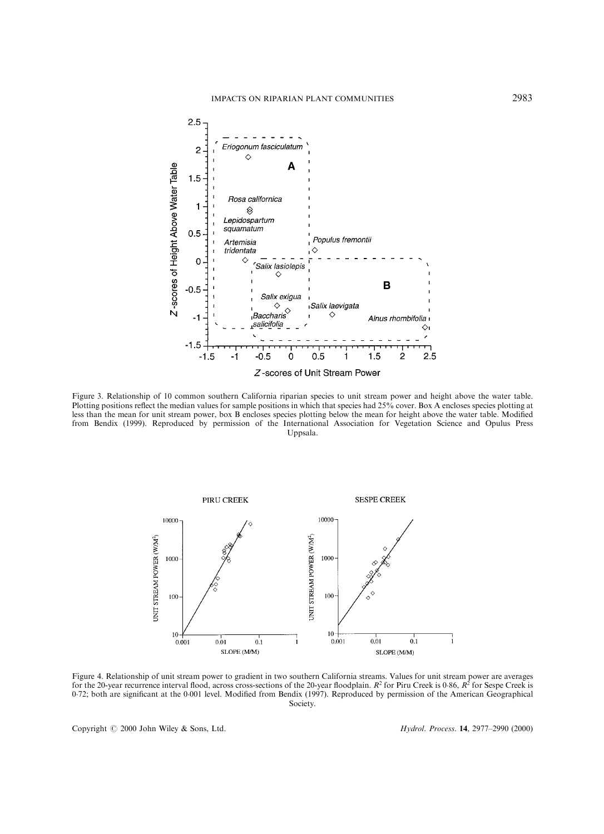

Figure 3. Relationship of 10 common southern California riparian species to unit stream power and height above the water table. Plotting positions reflect the median values for sample positions in which that species had 25% cover. Box A encloses species plotting at less than the mean for unit stream power, box B encloses species plotting below the mean for height above the water table. Modified from Bendix ([1999\)](#page-11-0). Reproduced by permission of the International Association for Vegetation Science and Opulus Press Uppsala.



Figure 4. Relationship of unit stream power to gradient in two southern California streams. Values for unit stream power are averages for the 20-year recurrence interval flood, across cross-sections of the 20-year floodplain.  $R^2$  for Piru Creek is 0.86,  $R^2$  for Sespe Creek is 0.72; both are significant at the 0.001 level. Modified from Bendix [\(1997](#page-11-0)). Reproduced by permission of the American Geographical Society.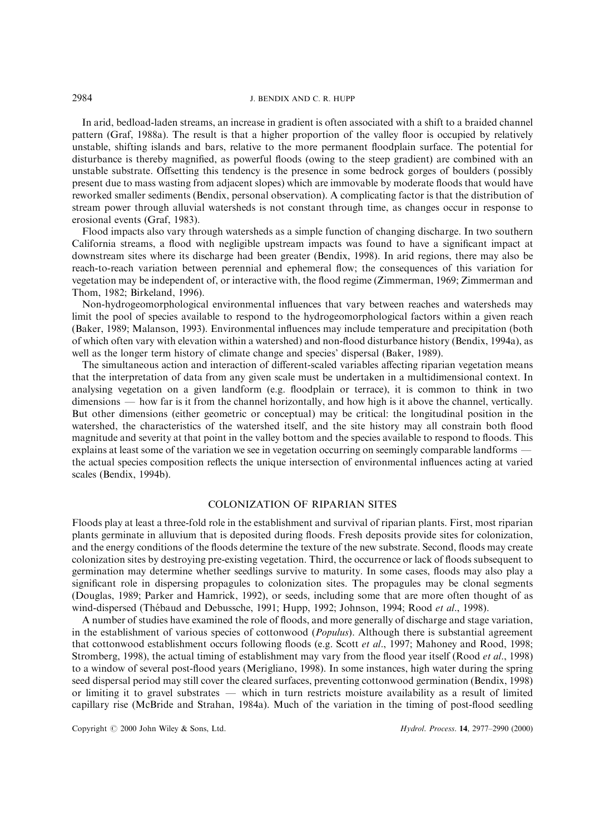In arid, bedload-laden streams, an increase in gradient is often associated with a shift to a braided channel pattern (Graf, [1988a](#page-11-0)). The result is that a higher proportion of the valley floor is occupied by relatively unstable, shifting islands and bars, relative to the more permanent floodplain surface. The potential for disturbance is thereby magnified, as powerful floods (owing to the steep gradient) are combined with an unstable substrate. Offsetting this tendency is the presence in some bedrock gorges of boulders (possibly present due to mass wasting from adjacent slopes) which are immovable by moderate floods that would have reworked smaller sediments (Bendix, personal observation). A complicating factor is that the distribution of stream power through alluvial watersheds is not constant through time, as changes occur in response to erosional events (Graf, [1983](#page-11-0)).

Flood impacts also vary through watersheds as a simple function of changing discharge. In two southern California streams, a flood with negligible upstream impacts was found to have a significant impact at downstream sites where its discharge had been greater (Bendix, [1998\)](#page-11-0). In arid regions, there may also be reach-to-reach variation between perennial and ephemeral flow; the consequences of this variation for vegetation may be independent of, or interactive with, the ¯ood regime (Zimmerman, [1969](#page-13-0); Zimmerman and Thom, [1982;](#page-13-0) Birkeland, [1996\)](#page-11-0).

Non-hydrogeomorphological environmental influences that vary between reaches and watersheds may limit the pool of species available to respond to the hydrogeomorphological factors within a given reach (Baker, [1989;](#page-11-0) Malanson, [1993\)](#page-12-0). Environmental influences may include temperature and precipitation (both of which often vary with elevation within a watershed) and non-flood disturbance history (Bendix, [1994a](#page-11-0)), as well as the longer term history of climate change and species' dispersal (Baker, [1989\)](#page-11-0).

The simultaneous action and interaction of different-scaled variables affecting riparian vegetation means that the interpretation of data from any given scale must be undertaken in a multidimensional context. In analysing vegetation on a given landform (e.g. floodplain or terrace), it is common to think in two dimensions — how far is it from the channel horizontally, and how high is it above the channel, vertically. But other dimensions (either geometric or conceptual) may be critical: the longitudinal position in the watershed, the characteristics of the watershed itself, and the site history may all constrain both flood magnitude and severity at that point in the valley bottom and the species available to respond to floods. This explains at least some of the variation we see in vegetation occurring on seemingly comparable landforms the actual species composition reflects the unique intersection of environmental influences acting at varied scales (Bendix, [1994b](#page-11-0)).

## COLONIZATION OF RIPARIAN SITES

Floods play at least a three-fold role in the establishment and survival of riparian plants. First, most riparian plants germinate in alluvium that is deposited during floods. Fresh deposits provide sites for colonization, and the energy conditions of the floods determine the texture of the new substrate. Second, floods may create colonization sites by destroying pre-existing vegetation. Third, the occurrence or lack of floods subsequent to germination may determine whether seedlings survive to maturity. In some cases, floods may also play a significant role in dispersing propagules to colonization sites. The propagules may be clonal segments (Douglas, [1989](#page-11-0); Parker and Hamrick, [1992](#page-12-0)), or seeds, including some that are more often thought of as wind-dispersed (Thébaud and Debussche, [1991;](#page-13-0) Hupp, [1992;](#page-12-0) Johnson, [1994](#page-12-0); Rood et al., [1998](#page-12-0)).

A number of studies have examined the role of floods, and more generally of discharge and stage variation, in the establishment of various species of cottonwood (*Populus*). Although there is substantial agreement that cottonwood establishment occurs following floods (e.g. Scott et al., [1997;](#page-12-0) Mahoney and Rood, [1998;](#page-12-0) Stromberg, [1998](#page-12-0)), the actual timing of establishment may vary from the flood year itself (Rood *et al.*, [1998\)](#page-12-0) to a window of several post-flood years (Merigliano, [1998\)](#page-12-0). In some instances, high water during the spring seed dispersal period may still cover the cleared surfaces, preventing cottonwood germination (Bendix, [1998\)](#page-11-0) or limiting it to gravel substrates — which in turn restricts moisture availability as a result of limited capillary rise (McBride and Strahan, [1984a\)](#page-12-0). Much of the variation in the timing of post-flood seedling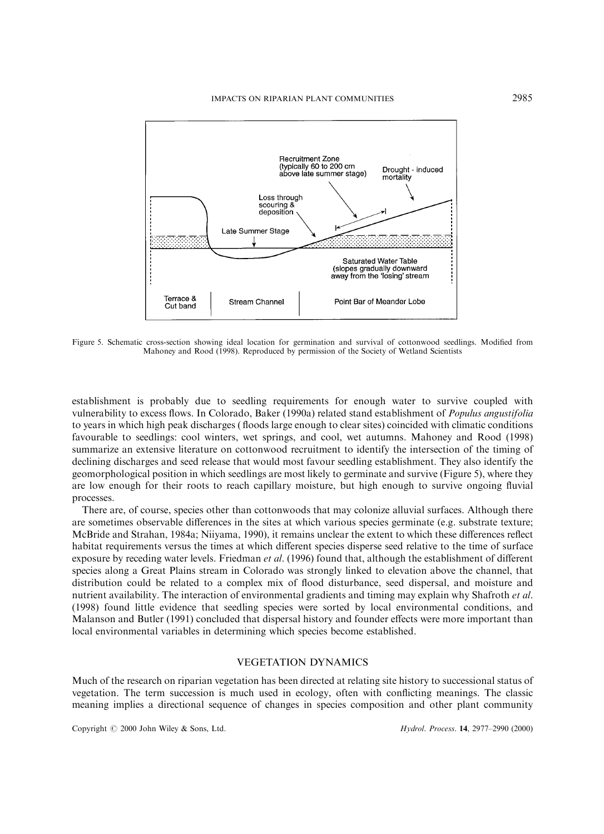

Figure 5. Schematic cross-section showing ideal location for germination and survival of cottonwood seedlings. Modified from Mahoney and Rood ([1998](#page-12-0)). Reproduced by permission of the Society of Wetland Scientists

establishment is probably due to seedling requirements for enough water to survive coupled with vulnerability to excess flows. In Colorado, Baker [\(1990a\)](#page-11-0) related stand establishment of *Populus angustifolia* to years in which high peak discharges (floods large enough to clear sites) coincided with climatic conditions favourable to seedlings: cool winters, wet springs, and cool, wet autumns. Mahoney and Rood ([1998\)](#page-12-0) summarize an extensive literature on cottonwood recruitment to identify the intersection of the timing of declining discharges and seed release that would most favour seedling establishment. They also identify the geomorphological position in which seedlings are most likely to germinate and survive (Figure 5), where they are low enough for their roots to reach capillary moisture, but high enough to survive ongoing fluvial processes.

There are, of course, species other than cottonwoods that may colonize alluvial surfaces. Although there are sometimes observable differences in the sites at which various species germinate (e.g. substrate texture; McBride and Strahan, [1984a;](#page-12-0) Niiyama, [1990\)](#page-12-0), it remains unclear the extent to which these differences reflect habitat requirements versus the times at which different species disperse seed relative to the time of surface exposure by receding water levels. Friedman et al. [\(1996](#page-11-0)) found that, although the establishment of different species along a Great Plains stream in Colorado was strongly linked to elevation above the channel, that distribution could be related to a complex mix of flood disturbance, seed dispersal, and moisture and nutrient availability. The interaction of environmental gradients and timing may explain why Shafroth et al. [\(1998](#page-12-0)) found little evidence that seedling species were sorted by local environmental conditions, and Malanson and Butler [\(1991](#page-12-0)) concluded that dispersal history and founder effects were more important than local environmental variables in determining which species become established.

### VEGETATION DYNAMICS

Much of the research on riparian vegetation has been directed at relating site history to successional status of vegetation. The term succession is much used in ecology, often with conflicting meanings. The classic meaning implies a directional sequence of changes in species composition and other plant community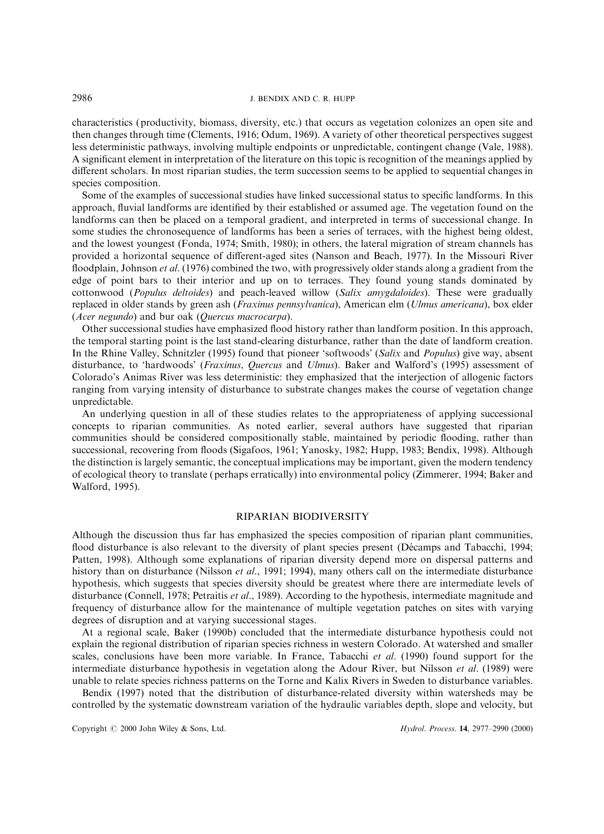characteristics (productivity, biomass, diversity, etc.) that occurs as vegetation colonizes an open site and then changes through time (Clements, [1916;](#page-11-0) Odum, [1969](#page-12-0)). A variety of other theoretical perspectives suggest less deterministic pathways, involving multiple endpoints or unpredictable, contingent change (Vale, [1988](#page-13-0)). A significant element in interpretation of the literature on this topic is recognition of the meanings applied by different scholars. In most riparian studies, the term succession seems to be applied to sequential changes in species composition.

Some of the examples of successional studies have linked successional status to specific landforms. In this approach, fluvial landforms are identified by their established or assumed age. The vegetation found on the landforms can then be placed on a temporal gradient, and interpreted in terms of successional change. In some studies the chronosequence of landforms has been a series of terraces, with the highest being oldest, and the lowest youngest (Fonda, [1974](#page-11-0); Smith, [1980](#page-12-0)); in others, the lateral migration of stream channels has provided a horizontal sequence of different-aged sites (Nanson and Beach, [1977](#page-12-0)). In the Missouri River floodplain, Johnson *et al.* ([1976\)](#page-12-0) combined the two, with progressively older stands along a gradient from the edge of point bars to their interior and up on to terraces. They found young stands dominated by cottonwood (Populus deltoides) and peach-leaved willow (Salix amygdaloides). These were gradually replaced in older stands by green ash (Fraxinus pennsylvanica), American elm (Ulmus americana), box elder (Acer negundo) and bur oak (Quercus macrocarpa).

Other successional studies have emphasized flood history rather than landform position. In this approach, the temporal starting point is the last stand-clearing disturbance, rather than the date of landform creation. In the Rhine Valley, Schnitzler ([1995](#page-12-0)) found that pioneer 'softwoods' (Salix and Populus) give way, absent disturbance, to 'hardwoods' (Fraxinus, Quercus and Ulmus). Baker and Walford's ([1995](#page-11-0)) assessment of Colorado's Animas River was less deterministic: they emphasized that the interjection of allogenic factors ranging from varying intensity of disturbance to substrate changes makes the course of vegetation change unpredictable.

An underlying question in all of these studies relates to the appropriateness of applying successional concepts to riparian communities. As noted earlier, several authors have suggested that riparian communities should be considered compositionally stable, maintained by periodic flooding, rather than successional, recovering from floods (Sigafoos, 1961; Yanosky, [1982;](#page-13-0) Hupp, [1983](#page-11-0); Bendix, [1998\)](#page-11-0). Although the distinction is largely semantic, the conceptual implications may be important, given the modern tendency of ecological theory to translate (perhaps erratically) into environmental policy (Zimmerer, [1994;](#page-13-0) Baker and Walford, [1995](#page-11-0)).

### RIPARIAN BIODIVERSITY

Although the discussion thus far has emphasized the species composition of riparian plant communities, flood disturbance is also relevant to the diversity of plant species present (Décamps and Tabacchi, [1994;](#page-11-0) Patten, [1998\)](#page-12-0). Although some explanations of riparian diversity depend more on dispersal patterns and history than on disturbance (Nilsson et al., [1991](#page-12-0); 1994), many others call on the intermediate disturbance hypothesis, which suggests that species diversity should be greatest where there are intermediate levels of disturbance (Connell, [1978;](#page-11-0) Petraitis et al., [1989\)](#page-12-0). According to the hypothesis, intermediate magnitude and frequency of disturbance allow for the maintenance of multiple vegetation patches on sites with varying degrees of disruption and at varying successional stages.

At a regional scale, Baker ([1990b](#page-11-0)) concluded that the intermediate disturbance hypothesis could not explain the regional distribution of riparian species richness in western Colorado. At watershed and smaller scales, conclusions have been more variable. In France, Tabacchi *et al.* ([1990\)](#page-13-0) found support for the intermediate disturbance hypothesis in vegetation along the Adour River, but Nilsson et al. (1989) were unable to relate species richness patterns on the Torne and Kalix Rivers in Sweden to disturbance variables.

Bendix ([1997\)](#page-11-0) noted that the distribution of disturbance-related diversity within watersheds may be controlled by the systematic downstream variation of the hydraulic variables depth, slope and velocity, but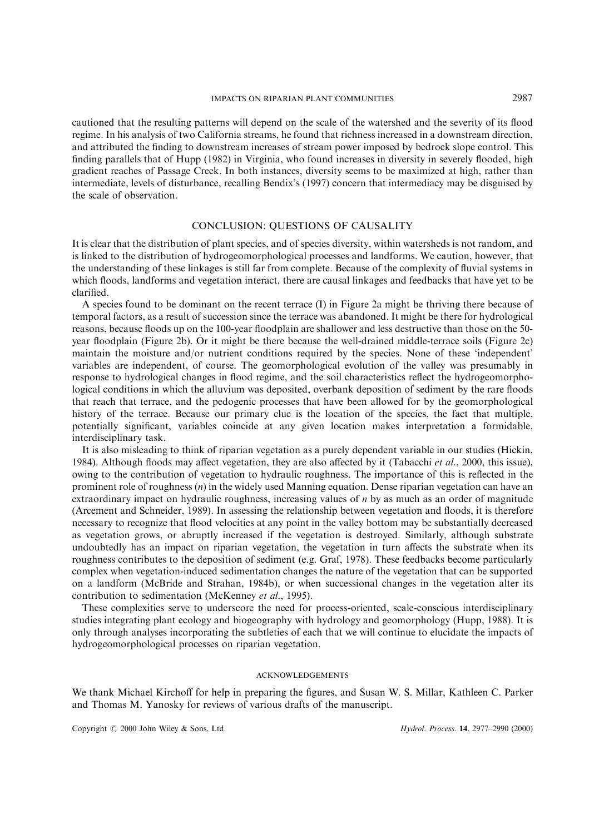cautioned that the resulting patterns will depend on the scale of the watershed and the severity of its flood regime. In his analysis of two California streams, he found that richness increased in a downstream direction, and attributed the finding to downstream increases of stream power imposed by bedrock slope control. This finding parallels that of Hupp [\(1982](#page-11-0)) in Virginia, who found increases in diversity in severely flooded, high gradient reaches of Passage Creek. In both instances, diversity seems to be maximized at high, rather than intermediate, levels of disturbance, recalling Bendix's [\(1997](#page-11-0)) concern that intermediacy may be disguised by the scale of observation.

### CONCLUSION: QUESTIONS OF CAUSALITY

It is clear that the distribution of plant species, and of species diversity, within watersheds is not random, and is linked to the distribution of hydrogeomorphological processes and landforms. We caution, however, that the understanding of these linkages is still far from complete. Because of the complexity of fluvial systems in which floods, landforms and vegetation interact, there are causal linkages and feedbacks that have yet to be clarified.

A species found to be dominant on the recent terrace (I) in Figure 2a might be thriving there because of temporal factors, as a result of succession since the terrace was abandoned. It might be there for hydrological reasons, because floods up on the 100-year floodplain are shallower and less destructive than those on the 50year floodplain (Figure 2b). Or it might be there because the well-drained middle-terrace soils (Figure 2c) maintain the moisture and/or nutrient conditions required by the species. None of these 'independent' variables are independent, of course. The geomorphological evolution of the valley was presumably in response to hydrological changes in flood regime, and the soil characteristics reflect the hydrogeomorphological conditions in which the alluvium was deposited, overbank deposition of sediment by the rare floods that reach that terrace, and the pedogenic processes that have been allowed for by the geomorphological history of the terrace. Because our primary clue is the location of the species, the fact that multiple, potentially significant, variables coincide at any given location makes interpretation a formidable, interdisciplinary task.

It is also misleading to think of riparian vegetation as a purely dependent variable in our studies (Hickin, [1984\)](#page-11-0). Although floods may affect vegetation, they are also affected by it (Tabacchi *et al.*, [2000,](#page-13-0) this issue), owing to the contribution of vegetation to hydraulic roughness. The importance of this is reflected in the prominent role of roughness  $(n)$  in the widely used Manning equation. Dense riparian vegetation can have an extraordinary impact on hydraulic roughness, increasing values of n by as much as an order of magnitude (Arcement and Schneider, [1989\)](#page-11-0). In assessing the relationship between vegetation and floods, it is therefore necessary to recognize that flood velocities at any point in the valley bottom may be substantially decreased as vegetation grows, or abruptly increased if the vegetation is destroyed. Similarly, although substrate undoubtedly has an impact on riparian vegetation, the vegetation in turn affects the substrate when its roughness contributes to the deposition of sediment (e.g. Graf, [1978](#page-11-0)). These feedbacks become particularly complex when vegetation-induced sedimentation changes the nature of the vegetation that can be supported on a landform (McBride and Strahan, [1984b](#page-12-0)), or when successional changes in the vegetation alter its contribution to sedimentation (McKenney et al., [1995](#page-12-0)).

These complexities serve to underscore the need for process-oriented, scale-conscious interdisciplinary studies integrating plant ecology and biogeography with hydrology and geomorphology (Hupp, [1988](#page-12-0)). It is only through analyses incorporating the subtleties of each that we will continue to elucidate the impacts of hydrogeomorphological processes on riparian vegetation.

### ACKNOWLEDGEMENTS

We thank Michael Kirchoff for help in preparing the figures, and Susan W. S. Millar, Kathleen C. Parker and Thomas M. Yanosky for reviews of various drafts of the manuscript.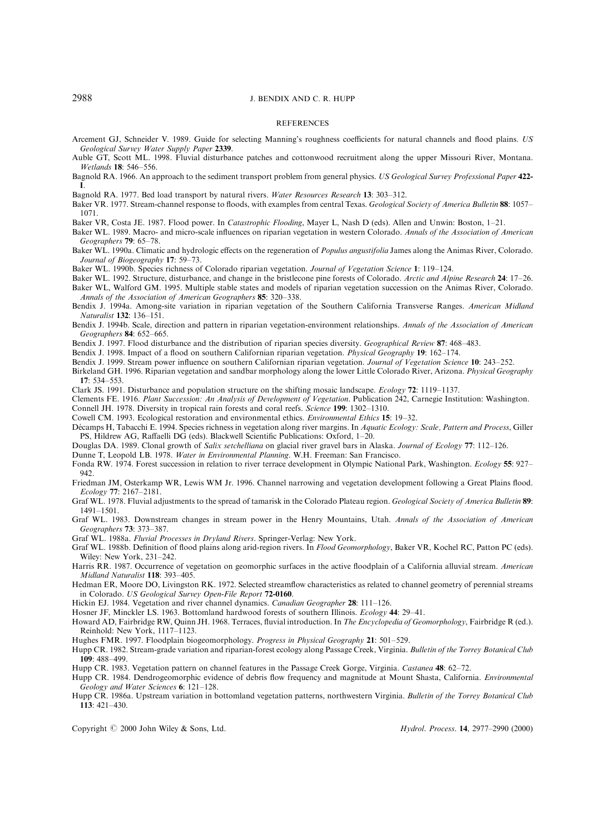#### **REFERENCES**

<span id="page-11-0"></span>Arcement GJ, Schneider V. 1989. Guide for selecting Manning's roughness coefficients for natural channels and flood plains. US Geological Survey Water Supply Paper 2339.

Auble GT, Scott ML. 1998. Fluvial disturbance patches and cottonwood recruitment along the upper Missouri River, Montana. Wetlands 18: 546-556.

Bagnold RA. 1966. An approach to the sediment transport problem from general physics. US Geological Survey Professional Paper 422-I.

Bagnold RA. 1977. Bed load transport by natural rivers. Water Resources Research 13: 303-312.

Baker VR. 1977. Stream-channel response to floods, with examples from central Texas. Geological Society of America Bulletin 88: 1057-1071.

Baker VR, Costa JE. 1987. Flood power. In Catastrophic Flooding, Mayer L, Nash D (eds). Allen and Unwin: Boston, 1-21.

Baker WL. 1989. Macro- and micro-scale influences on riparian vegetation in western Colorado. Annals of the Association of American Geographers  $79:65-78$ .

Baker WL. 1990a. Climatic and hydrologic effects on the regeneration of Populus angustifolia James along the Animas River, Colorado. Journal of Biogeography 17: 59-73.

Baker WL. 1990b. Species richness of Colorado riparian vegetation. Journal of Vegetation Science 1: 119-124.

Baker WL. 1992. Structure, disturbance, and change in the bristlecone pine forests of Colorado. Arctic and Alpine Research 24: 17–26.

Baker WL, Walford GM. 1995. Multiple stable states and models of riparian vegetation succession on the Animas River, Colorado. Annals of the Association of American Geographers 85: 320-338.

Bendix J. 1994a. Among-site variation in riparian vegetation of the Southern California Transverse Ranges. American Midland Naturalist 132: 136-151.

Bendix J. 1994b. Scale, direction and pattern in riparian vegetation-environment relationships. Annals of the Association of American Geographers 84: 652-665.

Bendix J. 1997. Flood disturbance and the distribution of riparian species diversity. Geographical Review 87: 468-483.

Bendix J. 1998. Impact of a flood on southern Californian riparian vegetation. Physical Geography 19: 162-174.

Bendix J. 1999. Stream power influence on southern Californian riparian vegetation. Journal of Vegetation Science 10: 243–252.

Birkeland GH. 1996. Riparian vegetation and sandbar morphology along the lower Little Colorado River, Arizona. Physical Geography 17: 534-553.

Clark JS. 1991. Disturbance and population structure on the shifting mosaic landscape. Ecology 72: 1119–1137.

Clements FE. 1916. Plant Succession: An Analysis of Development of Vegetation. Publication 242, Carnegie Institution: Washington. Connell JH. 1978. Diversity in tropical rain forests and coral reefs. Science 199: 1302-1310.

Cowell CM. 1993. Ecological restoration and environmental ethics. *Environmental Ethics* 15: 19–32.

Décamps H, Tabacchi E. 1994. Species richness in vegetation along river margins. In Aquatic Ecology: Scale, Pattern and Process, Giller PS, Hildrew AG, Raffaelli DG (eds). Blackwell Scientific Publications: Oxford, 1-20.

Douglas DA. 1989. Clonal growth of Salix setchelliana on glacial river gravel bars in Alaska. Journal of Ecology 77: 112-126.

Dunne T, Leopold LB. 1978. Water in Environmental Planning. W.H. Freeman: San Francisco.

Fonda RW. 1974. Forest succession in relation to river terrace development in Olympic National Park, Washington. Ecology 55: 927– 942.

Friedman JM, Osterkamp WR, Lewis WM Jr. 1996. Channel narrowing and vegetation development following a Great Plains flood. Ecology 77: 2167-2181.

Graf WL. 1978. Fluvial adjustments to the spread of tamarisk in the Colorado Plateau region. Geological Society of America Bulletin 89: 1491±1501.

Graf WL. 1983. Downstream changes in stream power in the Henry Mountains, Utah. Annals of the Association of American Geographers **73**: 373-387.

Graf WL. 1988a. Fluvial Processes in Dryland Rivers. Springer-Verlag: New York.

Graf WL. 1988b. Definition of flood plains along arid-region rivers. In Flood Geomorphology, Baker VR, Kochel RC, Patton PC (eds). Wiley: New York, 231-242.

Harris RR. 1987. Occurrence of vegetation on geomorphic surfaces in the active floodplain of a California alluvial stream. American Midland Naturalist 118: 393-405.

Hedman ER, Moore DO, Livingston RK. 1972. Selected streamflow characteristics as related to channel geometry of perennial streams in Colorado. US Geological Survey Open-File Report 72-0160.

Hickin EJ. 1984. Vegetation and river channel dynamics. Canadian Geographer 28: 111-126.

Hosner JF, Minckler LS. 1963. Bottomland hardwood forests of southern Illinois. Ecology 44: 29-41.

Howard AD, Fairbridge RW, Quinn JH. 1968. Terraces, fluvial introduction. In The Encyclopedia of Geomorphology, Fairbridge R (ed.). Reinhold: New York, 1117-1123.

Hughes FMR. 1997. Floodplain biogeomorphology. Progress in Physical Geography 21: 501-529.

Hupp CR. 1982. Stream-grade variation and riparian-forest ecology along Passage Creek, Virginia. Bulletin of the Torrey Botanical Club 109: 488±499.

Hupp CR. 1983. Vegetation pattern on channel features in the Passage Creek Gorge, Virginia. Castanea 48: 62-72.

Hupp CR. 1984. Dendrogeomorphic evidence of debris flow frequency and magnitude at Mount Shasta, California. *Environmental*  $Geology$  and Water Sciences 6: 121-128.

Hupp CR. 1986a. Upstream variation in bottomland vegetation patterns, northwestern Virginia. Bulletin of the Torrey Botanical Club 113: 421±430.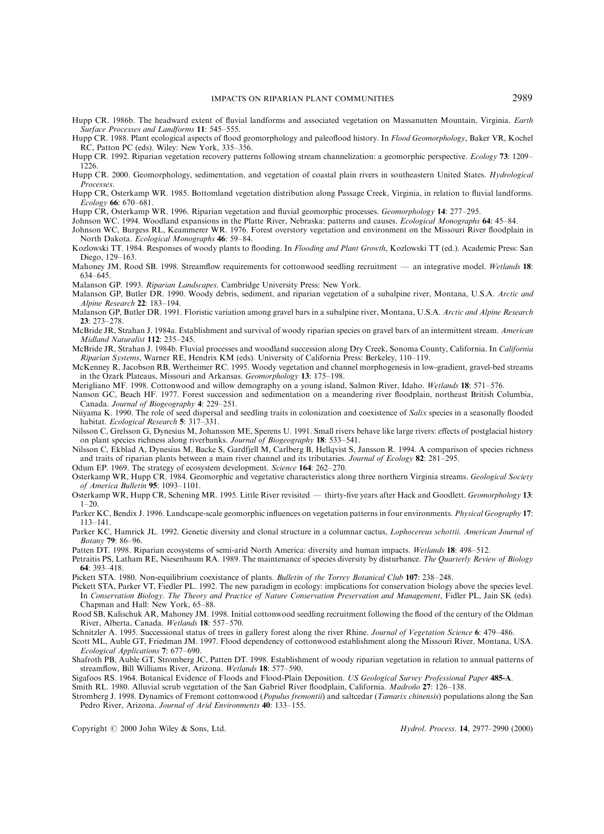- <span id="page-12-0"></span>Hupp CR. 1986b. The headward extent of fluvial landforms and associated vegetation on Massanutten Mountain, Virginia. Earth Surface Processes and Landforms 11: 545-555.
- Hupp CR. 1988. Plant ecological aspects of flood geomorphology and paleoflood history. In Flood Geomorphology, Baker VR, Kochel RC, Patton PC (eds). Wiley: New York, 335-356.
- Hupp CR. 1992. Riparian vegetation recovery patterns following stream channelization: a geomorphic perspective. Ecology 73: 1209-1226.
- Hupp CR. 2000. Geomorphology, sedimentation, and vegetation of coastal plain rivers in southeastern United States. Hydrological Processes.
- Hupp CR, Osterkamp WR. 1985. Bottomland vegetation distribution along Passage Creek, Virginia, in relation to fluvial landforms. Ecology 66: 670-681.
- Hupp CR, Osterkamp WR. 1996. Riparian vegetation and fluvial geomorphic processes. Geomorphology 14: 277-295.
- Johnson WC. 1994. Woodland expansions in the Platte River, Nebraska: patterns and causes. Ecological Monographs 64: 45-84.
- Johnson WC, Burgess RL, Keammerer WR. 1976. Forest overstory vegetation and environment on the Missouri River floodplain in North Dakota. Ecological Monographs 46: 59-84.
- Kozlowski TT. 1984. Responses of woody plants to flooding. In Flooding and Plant Growth, Kozlowski TT (ed.). Academic Press: San Diego, 129-163.
- Mahoney JM, Rood SB. 1998. Streamflow requirements for cottonwood seedling recruitment an integrative model. Wetlands 18: 634-645.
- Malanson GP. 1993. Riparian Landscapes. Cambridge University Press: New York.
- Malanson GP, Butler DR. 1990. Woody debris, sediment, and riparian vegetation of a subalpine river, Montana, U.S.A. Arctic and Alpine Research 22: 183-194.
- Malanson GP, Butler DR. 1991. Floristic variation among gravel bars in a subalpine river, Montana, U.S.A. Arctic and Alpine Research 23: 273±278.
- McBride JR, Strahan J. 1984a. Establishment and survival of woody riparian species on gravel bars of an intermittent stream. American Midland Naturalist 112: 235-245.
- McBride JR, Strahan J. 1984b. Fluvial processes and woodland succession along Dry Creek, Sonoma County, California. In California Riparian Systems, Warner RE, Hendrix KM (eds). University of California Press: Berkeley, 110-119.
- McKenney R, Jacobson RB, Wertheimer RC. 1995. Woody vegetation and channel morphogenesis in low-gradient, gravel-bed streams in the Ozark Plateaus, Missouri and Arkansas. Geomorphology 13: 175-198.
- Merigliano MF. 1998. Cottonwood and willow demography on a young island, Salmon River, Idaho. Wetlands 18: 571-576.
- Nanson GC, Beach HF. 1977. Forest succession and sedimentation on a meandering river floodplain, northeast British Columbia, Canada. Journal of Biogeography 4: 229-251.
- Niiyama K. 1990. The role of seed dispersal and seedling traits in colonization and coexistence of Salix species in a seasonally flooded habitat. Ecological Research 5: 317-331.
- Nilsson C, Grelsson G, Dynesius M, Johansson ME, Sperens U. 1991. Small rivers behave like large rivers: effects of postglacial history on plant species richness along riverbanks. Journal of Biogeography 18: 533-541.
- Nilsson C, Ekblad A, Dynesius M, Backe S, Gardfjell M, Carlberg B, Hellqvist S, Jansson R. 1994. A comparison of species richness and traits of riparian plants between a main river channel and its tributaries. Journal of Ecology 82:  $281-295$ .
- Odum EP. 1969. The strategy of ecosystem development. Science 164: 262-270.
- Osterkamp WR, Hupp CR. 1984. Geomorphic and vegetative characteristics along three northern Virginia streams. Geological Society of America Bulletin  $95: 1093-1101$ .
- Osterkamp WR, Hupp CR, Schening MR, 1995. Little River revisited thirty-five years after Hack and Goodlett. Geomorphology 13:  $1 - 20$ .
- Parker KC, Bendix J. 1996. Landscape-scale geomorphic influences on vegetation patterns in four environments. Physical Geography 17: 113±141.
- Parker KC, Hamrick JL. 1992. Genetic diversity and clonal structure in a columnar cactus, Lophocereus schottii. American Journal of Botany **79**: 86–96.
- Patten DT. 1998. Riparian ecosystems of semi-arid North America: diversity and human impacts. Wetlands 18: 498-512.
- Petraitis PS, Latham RE, Niesenbaum RA. 1989. The maintenance of species diversity by disturbance. The Quarterly Review of Biology  $64.393 - 418$
- Pickett STA. 1980. Non-equilibrium coexistance of plants. Bulletin of the Torrey Botanical Club 107: 238-248.
- Pickett STA, Parker VT, Fiedler PL. 1992. The new paradigm in ecology: implications for conservation biology above the species level. In Conservation Biology. The Theory and Practice of Nature Conservation Preservation and Management, Fidler PL, Jain SK (eds). Chapman and Hall: New York, 65-88.
- Rood SB, Kalischuk AR, Mahoney JM. 1998. Initial cottonwood seedling recruitment following the flood of the century of the Oldman River, Alberta, Canada. Wetlands 18: 557-570.
- Schnitzler A. 1995. Successional status of trees in gallery forest along the river Rhine. Journal of Vegetation Science 6: 479-486.
- Scott ML, Auble GT, Friedman JM. 1997. Flood dependency of cottonwood establishment along the Missouri River, Montana, USA. Ecological Applications 7: 677-690.
- Shafroth PB, Auble GT, Stromberg JC, Patten DT. 1998. Establishment of woody riparian vegetation in relation to annual patterns of streamflow, Bill Williams River, Arizona. Wetlands 18: 577-590.
- Sigafoos RS. 1964. Botanical Evidence of Floods and Flood-Plain Deposition. US Geological Survey Professional Paper 485-A.

Smith RL. 1980. Alluvial scrub vegetation of the San Gabriel River floodplain, California. Madrono 27: 126-138.

Stromberg J. 1998. Dynamics of Fremont cottonwood (Populus fremontii) and saltcedar (Tamarix chinensis) populations along the San Pedro River, Arizona. Journal of Arid Environments 40: 133-155.